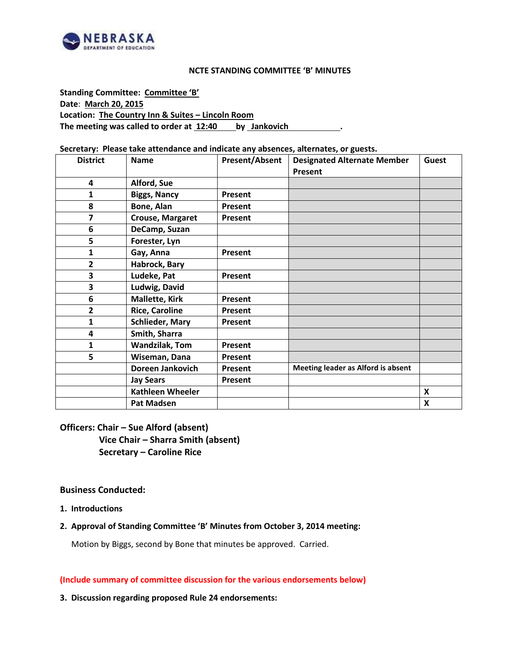

#### **NCTE STANDING COMMITTEE 'B' MINUTES**

**Standing Committee: Committee 'B' Date**: **March 20, 2015 Location: The Country Inn & Suites – Lincoln Room The meeting was called to order at 12:40 by Jankovich .**

#### **Secretary: Please take attendance and indicate any absences, alternates, or guests.**

| <b>District</b>         | <b>Name</b>             | <b>Present/Absent</b> | <b>Designated Alternate Member</b> | Guest                     |
|-------------------------|-------------------------|-----------------------|------------------------------------|---------------------------|
|                         |                         |                       | Present                            |                           |
| 4                       | Alford, Sue             |                       |                                    |                           |
| 1                       | <b>Biggs, Nancy</b>     | Present               |                                    |                           |
| 8                       | Bone, Alan              | <b>Present</b>        |                                    |                           |
| $\overline{\mathbf{z}}$ | <b>Crouse, Margaret</b> | Present               |                                    |                           |
| 6                       | DeCamp, Suzan           |                       |                                    |                           |
| 5                       | Forester, Lyn           |                       |                                    |                           |
| 1                       | Gay, Anna               | Present               |                                    |                           |
| $\overline{2}$          | Habrock, Bary           |                       |                                    |                           |
| 3                       | Ludeke, Pat             | Present               |                                    |                           |
| 3                       | Ludwig, David           |                       |                                    |                           |
| 6                       | <b>Mallette, Kirk</b>   | Present               |                                    |                           |
| $\overline{2}$          | <b>Rice, Caroline</b>   | Present               |                                    |                           |
| $\mathbf{1}$            | <b>Schlieder, Mary</b>  | Present               |                                    |                           |
| 4                       | Smith, Sharra           |                       |                                    |                           |
| 1                       | <b>Wandzilak, Tom</b>   | Present               |                                    |                           |
| 5                       | Wiseman, Dana           | Present               |                                    |                           |
|                         | Doreen Jankovich        | Present               | Meeting leader as Alford is absent |                           |
|                         | <b>Jay Sears</b>        | Present               |                                    |                           |
|                         | <b>Kathleen Wheeler</b> |                       |                                    | $\boldsymbol{\mathsf{x}}$ |
|                         | <b>Pat Madsen</b>       |                       |                                    | $\boldsymbol{\mathsf{x}}$ |

## **Officers: Chair – Sue Alford (absent) Vice Chair – Sharra Smith (absent) Secretary – Caroline Rice**

#### **Business Conducted:**

**1. Introductions**

## **2. Approval of Standing Committee 'B' Minutes from October 3, 2014 meeting:**

Motion by Biggs, second by Bone that minutes be approved. Carried.

#### **(Include summary of committee discussion for the various endorsements below)**

#### **3. Discussion regarding proposed Rule 24 endorsements:**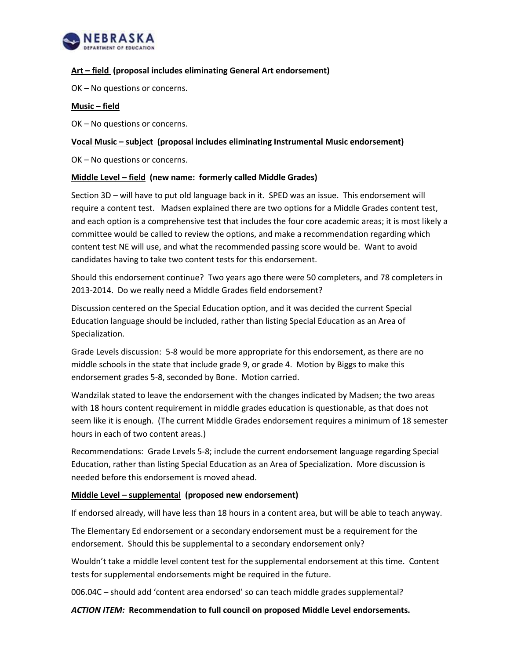

## **Art – field (proposal includes eliminating General Art endorsement)**

OK – No questions or concerns.

#### **Music – field**

OK – No questions or concerns.

## **Vocal Music – subject (proposal includes eliminating Instrumental Music endorsement)**

OK – No questions or concerns.

#### **Middle Level – field (new name: formerly called Middle Grades)**

Section 3D – will have to put old language back in it. SPED was an issue. This endorsement will require a content test. Madsen explained there are two options for a Middle Grades content test, and each option is a comprehensive test that includes the four core academic areas; it is most likely a committee would be called to review the options, and make a recommendation regarding which content test NE will use, and what the recommended passing score would be. Want to avoid candidates having to take two content tests for this endorsement.

Should this endorsement continue? Two years ago there were 50 completers, and 78 completers in 2013-2014. Do we really need a Middle Grades field endorsement?

Discussion centered on the Special Education option, and it was decided the current Special Education language should be included, rather than listing Special Education as an Area of Specialization.

Grade Levels discussion: 5-8 would be more appropriate for this endorsement, as there are no middle schools in the state that include grade 9, or grade 4. Motion by Biggs to make this endorsement grades 5-8, seconded by Bone. Motion carried.

Wandzilak stated to leave the endorsement with the changes indicated by Madsen; the two areas with 18 hours content requirement in middle grades education is questionable, as that does not seem like it is enough. (The current Middle Grades endorsement requires a minimum of 18 semester hours in each of two content areas.)

Recommendations: Grade Levels 5-8; include the current endorsement language regarding Special Education, rather than listing Special Education as an Area of Specialization. More discussion is needed before this endorsement is moved ahead.

## **Middle Level – supplemental (proposed new endorsement)**

If endorsed already, will have less than 18 hours in a content area, but will be able to teach anyway.

The Elementary Ed endorsement or a secondary endorsement must be a requirement for the endorsement. Should this be supplemental to a secondary endorsement only?

Wouldn't take a middle level content test for the supplemental endorsement at this time. Content tests for supplemental endorsements might be required in the future.

006.04C – should add 'content area endorsed' so can teach middle grades supplemental?

*ACTION ITEM:* **Recommendation to full council on proposed Middle Level endorsements.**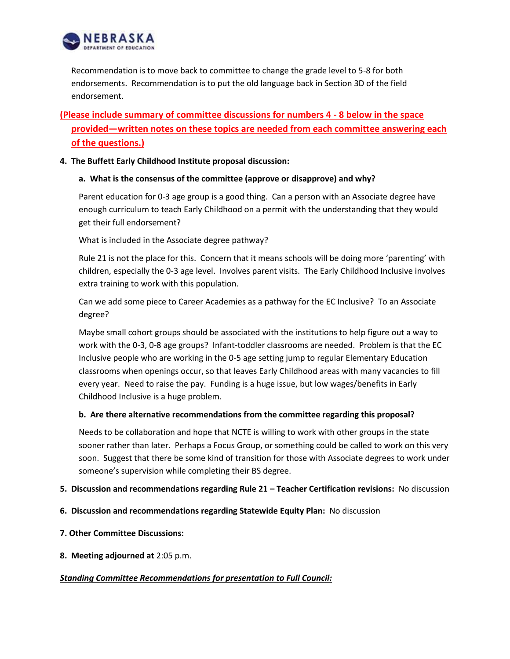

Recommendation is to move back to committee to change the grade level to 5-8 for both endorsements. Recommendation is to put the old language back in Section 3D of the field endorsement.

# **(Please include summary of committee discussions for numbers 4 - 8 below in the space provided—written notes on these topics are needed from each committee answering each of the questions.)**

## **4. The Buffett Early Childhood Institute proposal discussion:**

## **a. What is the consensus of the committee (approve or disapprove) and why?**

Parent education for 0-3 age group is a good thing. Can a person with an Associate degree have enough curriculum to teach Early Childhood on a permit with the understanding that they would get their full endorsement?

What is included in the Associate degree pathway?

Rule 21 is not the place for this. Concern that it means schools will be doing more 'parenting' with children, especially the 0-3 age level. Involves parent visits. The Early Childhood Inclusive involves extra training to work with this population.

Can we add some piece to Career Academies as a pathway for the EC Inclusive? To an Associate degree?

Maybe small cohort groups should be associated with the institutions to help figure out a way to work with the 0-3, 0-8 age groups? Infant-toddler classrooms are needed. Problem is that the EC Inclusive people who are working in the 0-5 age setting jump to regular Elementary Education classrooms when openings occur, so that leaves Early Childhood areas with many vacancies to fill every year. Need to raise the pay. Funding is a huge issue, but low wages/benefits in Early Childhood Inclusive is a huge problem.

## **b. Are there alternative recommendations from the committee regarding this proposal?**

Needs to be collaboration and hope that NCTE is willing to work with other groups in the state sooner rather than later. Perhaps a Focus Group, or something could be called to work on this very soon. Suggest that there be some kind of transition for those with Associate degrees to work under someone's supervision while completing their BS degree.

#### **5. Discussion and recommendations regarding Rule 21 – Teacher Certification revisions:** No discussion

- **6. Discussion and recommendations regarding Statewide Equity Plan:** No discussion
- **7. Other Committee Discussions:**
- **8. Meeting adjourned at** 2:05 p.m.

#### *Standing Committee Recommendations for presentation to Full Council:*